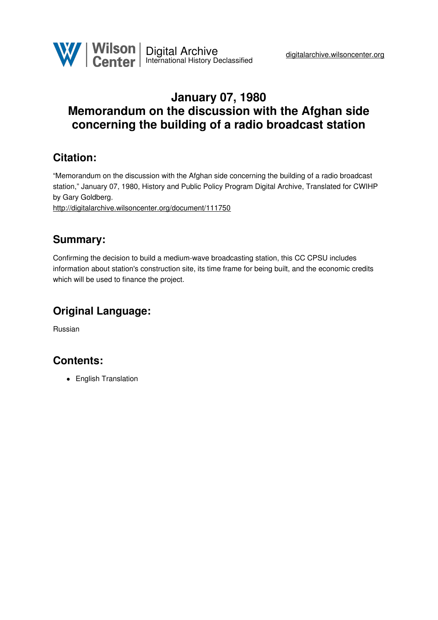

## **January 07, 1980 Memorandum on the discussion with the Afghan side concerning the building of a radio broadcast station**

## **Citation:**

"Memorandum on the discussion with the Afghan side concerning the building of a radio broadcast station," January 07, 1980, History and Public Policy Program Digital Archive, Translated for CWIHP by Gary Goldberg.

<http://digitalarchive.wilsoncenter.org/document/111750>

## **Summary:**

Confirming the decision to build a medium-wave broadcasting station, this CC CPSU includes information about station's construction site, its time frame for being built, and the economic credits which will be used to finance the project.

# **Original Language:**

Russian

### **Contents:**

• English Translation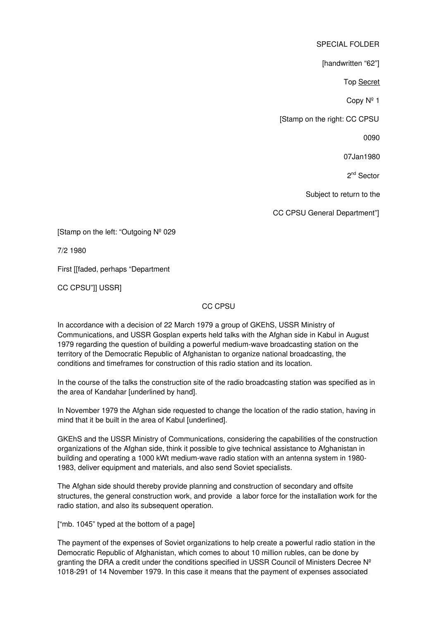SPECIAL FOLDER

[handwritten "62"]

Top Secret

Copy Nº 1

[Stamp on the right: CC CPSU

0090

07Jan1980

2<sup>nd</sup> Sector

Subject to return to the

CC CPSU General Department"]

[Stamp on the left: "Outgoing Nº 029

7/2 1980

First [[faded, perhaps "Department

CC CPSU"]] USSR]

#### CC CPSU

In accordance with a decision of 22 March 1979 a group of GKEhS, USSR Ministry of Communications, and USSR Gosplan experts held talks with the Afghan side in Kabul in August 1979 regarding the question of building a powerful medium-wave broadcasting station on the territory of the Democratic Republic of Afghanistan to organize national broadcasting, the conditions and timeframes for construction of this radio station and its location.

In the course of the talks the construction site of the radio broadcasting station was specified as in the area of Kandahar [underlined by hand].

In November 1979 the Afghan side requested to change the location of the radio station, having in mind that it be built in the area of Kabul [underlined].

GKEhS and the USSR Ministry of Communications, considering the capabilities of the construction organizations of the Afghan side, think it possible to give technical assistance to Afghanistan in building and operating a 1000 kWt medium-wave radio station with an antenna system in 1980- 1983, deliver equipment and materials, and also send Soviet specialists.

The Afghan side should thereby provide planning and construction of secondary and offsite structures, the general construction work, and provide a labor force for the installation work for the radio station, and also its subsequent operation.

["mb. 1045" typed at the bottom of a page]

The payment of the expenses of Soviet organizations to help create a powerful radio station in the Democratic Republic of Afghanistan, which comes to about 10 million rubles, can be done by granting the DRA a credit under the conditions specified in USSR Council of Ministers Decree Nº 1018-291 of 14 November 1979. In this case it means that the payment of expenses associated